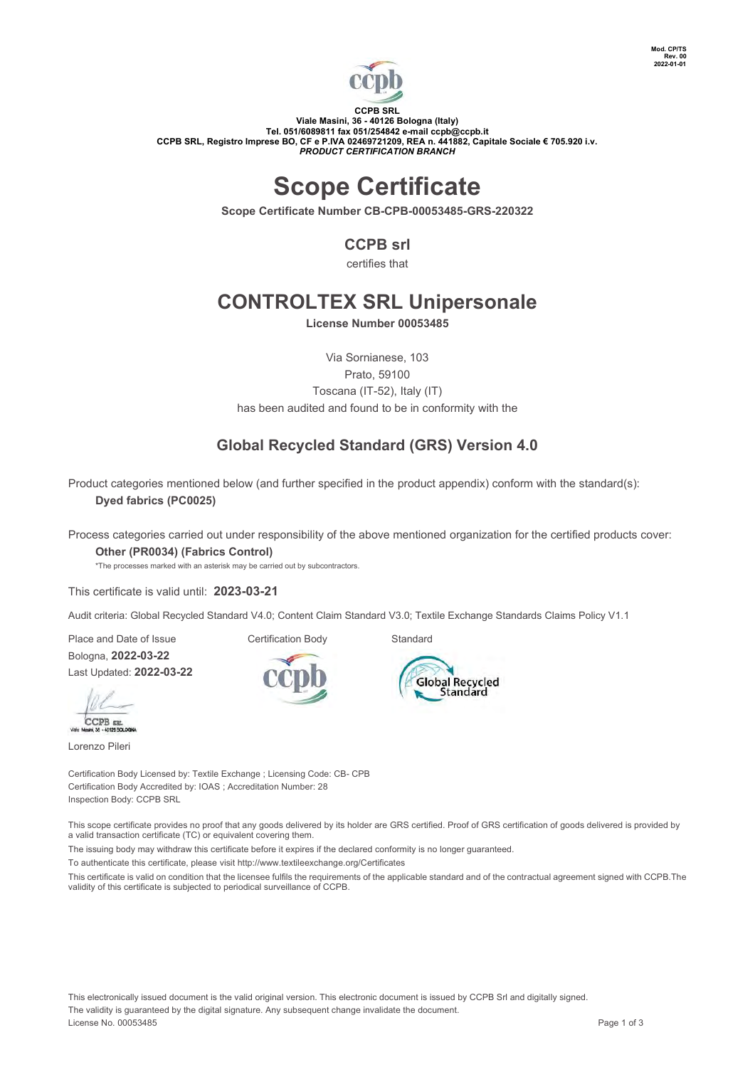

#### **CCPB SRL Viale Masini, 36 - 40126 Bologna (Italy) Tel. 051/6089811 fax 051/254842 e-mail [ccpb@ccpb.it](mailto:ccpb@ccpb.it) CCPB SRL, Registro Imprese BO, CF e P.IVA 02469721209, REA n. 441882, Capitale Sociale € 705.920 i.v.** *PRODUCT CERTIFICATION BRANCH*

# **Scope Certificate**

**Scope Certificate Number CB-CPB-00053485-GRS-220322**

## **CCPB srl**

certifies that

## **CONTROLTEX SRL Unipersonale**

**License Number 00053485**

Via Sornianese, 103 Prato, 59100 Toscana (IT-52), Italy (IT) has been audited and found to be in conformity with the

## **Global Recycled Standard (GRS) Version 4.0**

Product categories mentioned below (and further specified in the product appendix) conform with the standard(s): **Dyed fabrics (PC0025)**

Process categories carried out under responsibility of the above mentioned organization for the certified products cover:

**Global Recycled** Standard

#### **Other (PR0034) (Fabrics Control)**

\*The processes marked with an asterisk may be carried out by subcontractors.

This certificate is valid until: **2023-03-21**

Audit criteria: Global Recycled Standard V4.0; Content Claim Standard V3.0; Textile Exchange Standards Claims Policy V1.1

Place and Date of Issue **Certification Body** Standard Bologna, **2022-03-22** Last Updated: **2022-03-22**

CCPB sa

Lorenzo Pileri

Certification Body Licensed by: Textile Exchange ; Licensing Code: CB- CPB Certification Body Accredited by: IOAS ; Accreditation Number: 28 Inspection Body: CCPB SRL

This scope certificate provides no proof that any goods delivered by its holder are GRS certified. Proof of GRS certification of goods delivered is provided by a valid transaction certificate (TC) or equivalent covering them.

The issuing body may withdraw this certificate before it expires if the declared conformity is no longer guaranteed.

To authenticate this certificate, please visit http://www.textileexchange.org/Certificates

This certificate is valid on condition that the licensee fulfils the requirements of the applicable standard and of the contractual agreement signed with CCPB.The validity of this certificate is subjected to periodical surveillance of CCPB.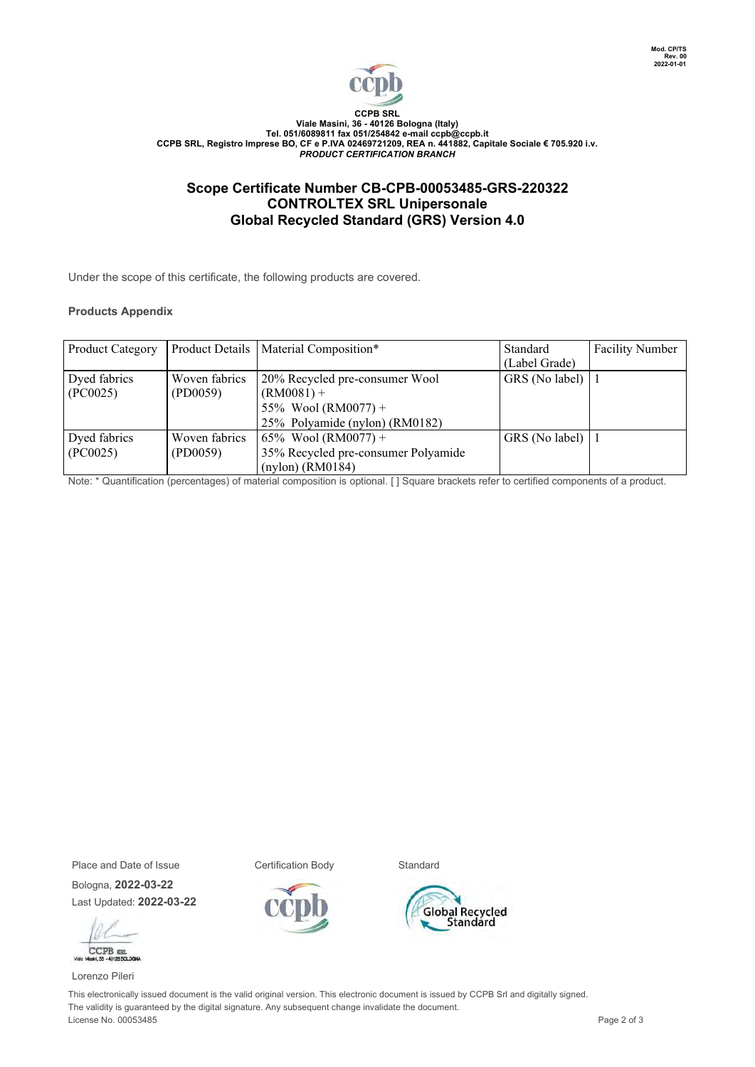

#### **B SRL Viale Masini, 36 - 40126 Bologna (Italy) Tel. 051/6089811 fax 051/254842 e-mail [ccpb@ccpb.it](mailto:ccpb@ccpb.it) CCPB SRL, Registro Imprese BO, CF e P.IVA 02469721209, REA n. 441882, Capitale Sociale € 705.920 i.v.** *PRODUCT CERTIFICATION BRANCH*

## **Scope Certificate Number CB-CPB-00053485-GRS-220322 CONTROLTEX SRL Unipersonale Global Recycled Standard (GRS) Version 4.0**

Under the scope of this certificate, the following products are covered.

#### **Products Appendix**

| Product Category |               | Product Details   Material Composition* | Standard            | <b>Facility Number</b> |
|------------------|---------------|-----------------------------------------|---------------------|------------------------|
|                  |               |                                         | (Label Grade)       |                        |
| Dyed fabrics     | Woven fabrics | 20% Recycled pre-consumer Wool          | GRS (No label)      |                        |
| (PC0025)         | (PD0059)      | $(RM0081) +$                            |                     |                        |
|                  |               | 55% Wool (RM0077) +                     |                     |                        |
|                  |               | 25% Polyamide (nylon) (RM0182)          |                     |                        |
| Dyed fabrics     | Woven fabrics | 65% Wool (RM0077) +                     | GRS (No label) $ 1$ |                        |
| (PC0025)         | (PD0059)      | 35% Recycled pre-consumer Polyamide     |                     |                        |
|                  |               | $(nylon)$ (RM0184)                      |                     |                        |

Note: \* Quantification (percentages) of material composition is optional. [ ] Square brackets refer to certified components of a product.

Place and Date of Issue **Certification Body** Standard

Bologna, **2022-03-22** Last Updated: **2022-03-22**



Lorenzo Pileri



This electronically issued document is the valid original version. This electronic document is issued by CCPB Srl and digitally signed. The validity is guaranteed by the digital signature. Any subsequent change invalidate the document. License No. 00053485 Page 2 of 3